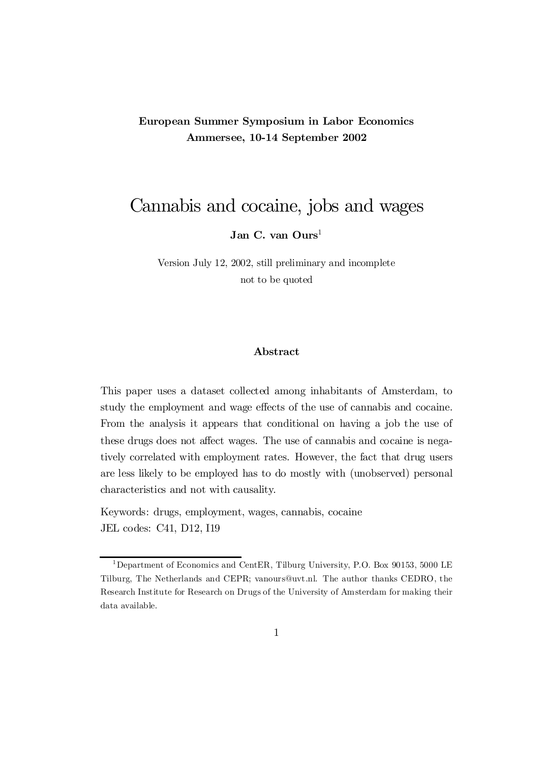### European Summer Symposium in Labor Economics Ammersee, 10-14 September 2002

# Cannabis and cocaine, jobs and wages

 $\, {\rm Jan} \,$   $\rm C. \, \, {\rm van} \, \, {\rm Ours}^{1}$ 

Version July 12, 2002, still preliminary and incomplete not to be quoted

#### Abstract

This paper uses a dataset collected among inhabitants of Amsterdam, to study the employment and wage effects of the use of cannabis and cocaine. From the analysis it appears that conditional on having a job the use of these drugs does not affect wages. The use of cannabis and cocaine is negatively correlated with employment rates. However, the fact that drug users are less likely to be employed has to do mostly with (unobserved) personal characteristics and not with causality.

Keywords: drugs, employment, wages, cannabis, cocaine JEL codes: C41, D12, I19

<sup>&</sup>lt;sup>1</sup>Department of Economics and CentER, Tilburg University, P.O. Box 90153, 5000 LE Tilburg, The Netherlands and CEPR; vanours@uvt.nl. The author thanks CEDRO, the Research Institute for Research on Drugs of the University of Amsterdam for making their data available.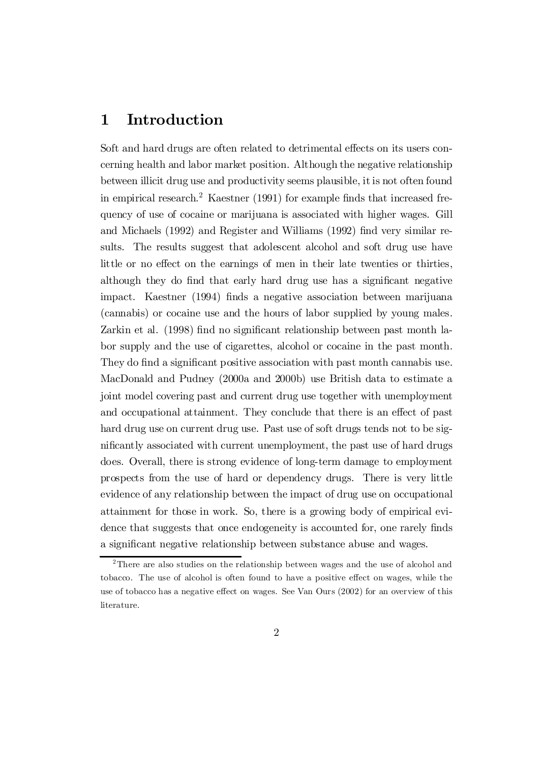## 1 Introduction

Soft and hard drugs are often related to detrimental effects on its users concerning health and labor market position. Although the negative relationship between illicit drug use and productivity seems plausible, it is not often found in empirical research.<sup>2</sup> Kaestner (1991) for example finds that increased frequency of use of cocaine or marijuana is associated with higher wages. Gill and Michaels  $(1992)$  and Register and Williams  $(1992)$  find very similar results. The results suggest that adolescent alcohol and soft drug use have little or no effect on the earnings of men in their late twenties or thirties, although they do find that early hard drug use has a significant negative impact. Kaestner (1994) finds a negative association between marijuana (cannabis) or cocaine use and the hours of labor supplied by young males. Zarkin et al. (1998) find no significant relationship between past month labor supply and the use of cigarettes, alcohol or cocaine in the past month. They do find a significant positive association with past month cannabis use. MacDonald and Pudney (2000a and 2000b) use British data to estimate a joint model covering past and current drug use together with unemployment and occupational attainment. They conclude that there is an effect of past hard drug use on current drug use. Past use of soft drugs tends not to be significantly associated with current unemployment, the past use of hard drugs does. Overall, there is strong evidence of long-term damage to employment prospects from the use of hard or dependency drugs. There is very little evidence of any relationship between the impact of drug use on occupational attainment for those in work. So, there is a growing body of empirical evidence that suggests that once endogeneity is accounted for, one rarely finds a significant negative relationship between substance abuse and wages.

<sup>2</sup>There are also studies on the relationship between wages and the use of alcohol and tobacco. The use of alcohol is often found to have a positive effect on wages, while the use of tobacco has a negative effect on wages. See Van Ours (2002) for an overview of this literature.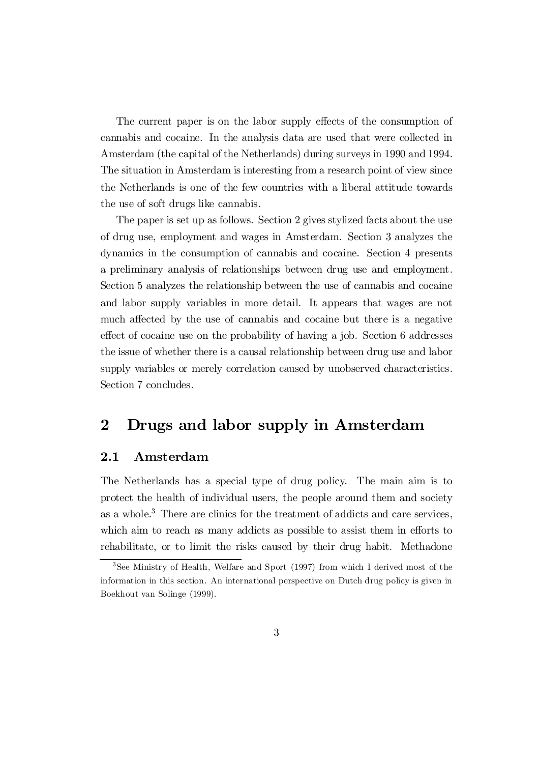The current paper is on the labor supply effects of the consumption of cannabis and cocaine. In the analysis data are used that were collected in Amsterdam (the capital of the Netherlands) during surveys in 1990 and 1994. The situation in Amsterdam is interesting from a research point of view since the Netherlands is one of the few countries with a liberal attitude towards the use of soft drugs like cannabis.

The paper is set up as follows. Section 2 gives stylized facts about the use of drug use, employment and wages in Amsterdam. Section 3 analyzes the dynamics in the consumption of cannabis and cocaine. Section 4 presents a preliminary analysis of relationships between drug use and employment. Section 5 analyzes the relationship between the use of cannabis and cocaine and labor supply variables in more detail. It appears that wages are not much affected by the use of cannabis and cocaine but there is a negative effect of cocaine use on the probability of having a job. Section 6 addresses the issue of whether there is a causal relationship between drug use and labor supply variables or merely correlation caused by unobserved characteristics. Section 7 concludes.

# 2 Drugs and labor supply in Amsterdam

#### 2.1 Amsterdam

The Netherlands has a special type of drug policy. The main aim is to protect the health of individual users, the people around them and society as a whole. <sup>3</sup> There are clinics for the treatment of addicts and care services, which aim to reach as many addicts as possible to assist them in efforts to rehabilitate, or to limit the risks caused by their drug habit. Methadone

<sup>3</sup>See Ministry of Health, Welfare and Sport (1997) from which I derived most of the information in this section. An international perspective on Dutch drug policy is given in Boekhout van Solinge (1999).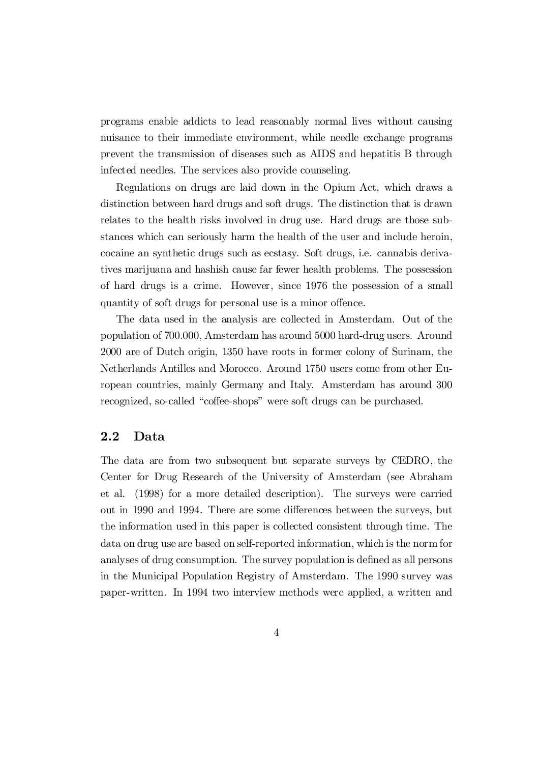programs enable addicts to lead reasonably normal lives without causing nuisance to their immediate environment, while needle exchange programs prevent the transmission of diseases such as AIDS and hepatitis B through infected needles. The services also provide counseling.

Regulations on drugs are laid down in the Opium Act, which draws a distinction between hard drugs and soft drugs. The distinction that is drawn relates to the health risks involved in drug use. Hard drugs are those substances which can seriously harm the health of the user and include heroin, cocaine an synthetic drugs such as ecstasy. Soft drugs, i.e. cannabis derivatives marijuana and hashish cause far fewer health problems. The possession of hard drugs is a crime. However, since 1976 the possession of a small quantity of soft drugs for personal use is a minor offence.

The data used in the analysis are collected in Amsterdam. Out of the population of 700.000, Amsterdam has around 5000 hard-drug users. Around 2000 are of Dutch origin, 1350 have roots in former colony of Surinam, the Netherlands Antilles and Morocco. Around 1750 users come from other European countries, mainly Germany and Italy. Amsterdam has around 300 recognized, so-called "coffee-shops" were soft drugs can be purchased.

#### 2.2 Data

The data are from two subsequent but separate surveys by CEDRO, the Center for Drug Research of the University of Amsterdam (see Abraham et al. (1998) for a more detailed description). The surveys were carried out in 1990 and 1994. There are some differences between the surveys, but the information used in this paper is collected consistent through time. The data on drug use are based on self-reported information, which is the norm for analyses of drug consumption. The survey population is defined as all persons in the Municipal Population Registry of Amsterdam. The 1990 survey was paper-written. In 1994 two interview methods were applied, a written and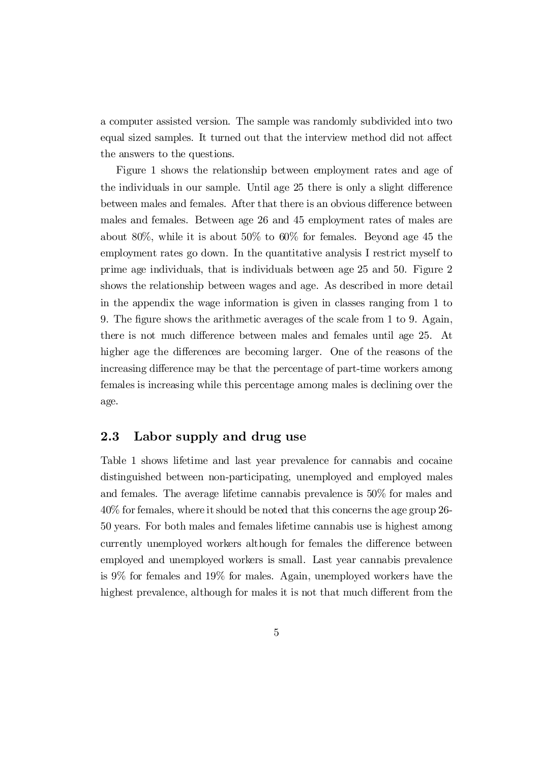a computer assisted version. The sample was randomly subdivided into two equal sized samples. It turned out that the interview method did not affect the answers to the questions.

Figure 1 shows the relationship between employment rates and age of the individuals in our sample. Until age 25 there is only a slight difference between males and females. After that there is an obvious difference between males and females. Between age 26 and 45 employment rates of males are about 80%, while it is about 50% to 60% for females. Beyond age 45 the employment rates go down. In the quantitative analysis I restrict myself to prime age individuals, that is individuals between age 25 and 50. Figure 2 shows the relationship between wages and age. As described in more detail in the appendix the wage information is given in classes ranging from 1 to 9. The figure shows the arithmetic averages of the scale from 1 to 9. Again, there is not much difference between males and females until age 25. At higher age the differences are becoming larger. One of the reasons of the increasing difference may be that the percentage of part-time workers among females is increasing while this percentage among males is declining over the age.

#### 2.3 Labor supply and drug use

Table 1 shows lifetime and last year prevalence for cannabis and cocaine distinguished between non-participating, unemployed and employed males and females. The average lifetime cannabis prevalence is 50% for males and 40% forfemales, where itshould be noted that this concerns the age group 26- 50 years. For both males and females lifetime cannabis use is highest among currently unemployed workers although for females the difference between employed and unemployed workers is small. Last year cannabis prevalence is 9% for females and 19% for males. Again, unemployed workers have the highest prevalence, although for males it is not that much different from the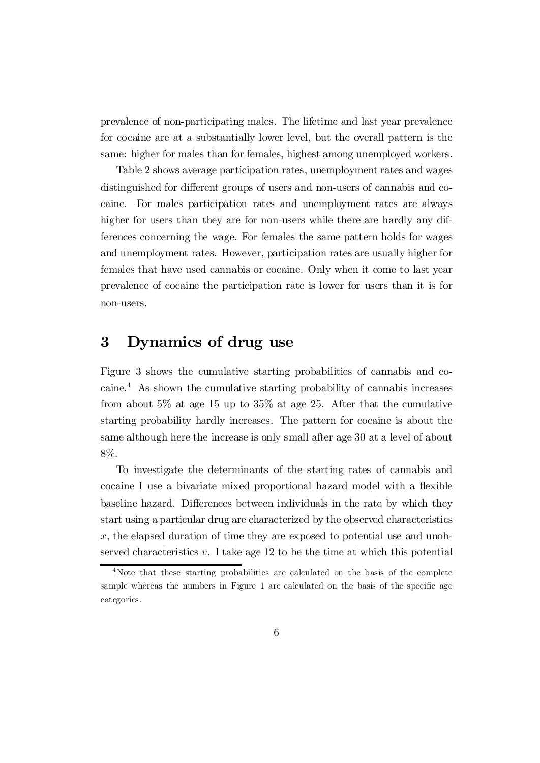prevalence of non-participating males. The lifetime and last year prevalence for cocaine are at a substantially lower level, but the overall pattern is the same: higher for males than for females, highest among unemployed workers.

Table 2 shows average participation rates, unemployment rates and wages distinguished for different groups of users and non-users of cannabis and cocaine. For males participation rates and unemployment rates are always higher for users than they are for non-users while there are hardly any differences concerning the wage. For females the same pattern holds for wages and unemployment rates. However, participation rates are usually higher for females that have used cannabis or cocaine. Only when it come to last year prevalence of cocaine the participation rate is lower for users than it is for non-users.

## 3 Dynamics of drug use

Figure 3 shows the cumulative starting probabilities of cannabis and cocaine. <sup>4</sup> As shown the cumulative starting probability of cannabis increases from about 5% at age 15 up to 35% at age 25. After that the cumulative starting probability hardly increases. The pattern for cocaine is about the same although here the increase is only small after age 30 at a level of about 8%.

To investigate the determinants of the starting rates of cannabis and cocaine I use a bivariate mixed proportional hazard model with a flexible baseline hazard. Differences between individuals in the rate by which they start using a particular drug are characterized by the observed characteristics x, the elapsed duration of time they are exposed to potential use and unobserved characteristics  $v$ . I take age 12 to be the time at which this potential

<sup>&</sup>lt;sup>4</sup>Note that these starting probabilities are calculated on the basis of the complete sample whereas the numbers in Figure 1 are calculated on the basis of the specific age categories.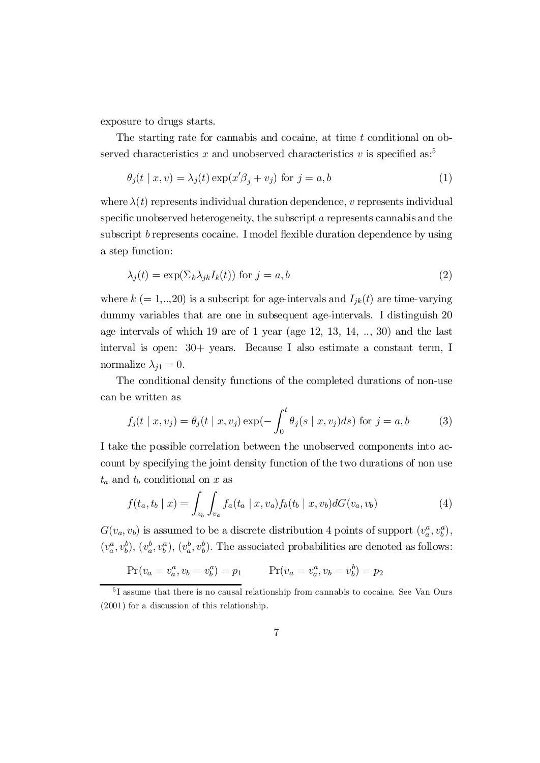exposure to drugs starts.

The starting rate for cannabis and cocaine, at time t conditional on observed characteristics x and unobserved characteristics v is specified as:<sup>5</sup>

$$
\theta_j(t \mid x, v) = \lambda_j(t) \exp(x'\beta_j + v_j) \text{ for } j = a, b
$$
 (1)

where  $\lambda(t)$  represents individual duration dependence, v represents individual specific unobserved heterogeneity, the subscript  $\alpha$  represents cannabis and the subscript  $b$  represents cocaine. I model flexible duration dependence by using a step function:

$$
\lambda_j(t) = \exp(\Sigma_k \lambda_{jk} I_k(t)) \text{ for } j = a, b \tag{2}
$$

where  $k (= 1,..,20)$  is a subscript for age-intervals and  $I_{jk}(t)$  are time-varying dummy variables that are one in subsequent age-intervals. I distinguish 20 age intervals of which 19 are of 1 year (age 12, 13, 14, .., 30) and the last interval is open: 30+ years. Because I also estimate a constant term, I normalize  $\lambda_{j1} = 0$ .

The conditional density functions of the completed durations of non-use can be written as

$$
f_j(t \mid x, v_j) = \theta_j(t \mid x, v_j) \exp\left(-\int_0^t \theta_j(s \mid x, v_j) ds\right) \text{ for } j = a, b \tag{3}
$$

I take the possible correlation between the unobserved components into account by specifying the joint density function of the two durations of non use  $t_a$  and  $t_b$  conditional on x as

$$
f(t_a, t_b | x) = \int_{v_b} \int_{v_a} f_a(t_a | x, v_a) f_b(t_b | x, v_b) dG(v_a, v_b)
$$
 (4)

 $G(v_a, v_b)$  is assumed to be a discrete distribution 4 points of support  $(v_a^a, v_b^a)$ ,  $(v_a^a, v_b^b), (v_a^b, v_b^a), (v_a^b, v_b^b)$ . The associated probabilities are denoted as follows:

$$
Pr(v_a = v_a^a, v_b = v_b^a) = p_1 \qquad Pr(v_a = v_a^a, v_b = v_b^b) = p_2
$$

<sup>5</sup>I assume that there is no causal relationship from cannabis to cocaine. See Van Ours (2001) for a discussion of this relationship.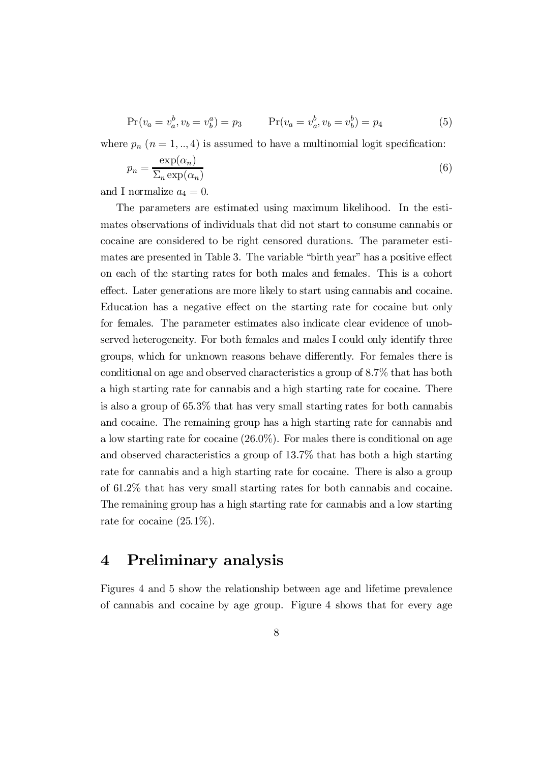$$
Pr(v_a = v_a^b, v_b = v_b^a) = p_3 \qquad Pr(v_a = v_a^b, v_b = v_b^b) = p_4 \tag{5}
$$

where  $p_n$   $(n = 1, \ldots, 4)$  is assumed to have a multinomial logit specification:

$$
p_n = \frac{\exp(\alpha_n)}{\sum_n \exp(\alpha_n)}\tag{6}
$$

and I normalize  $a_4 = 0$ .

The parameters are estimated using maximum likelihood. In the estimates observations of individuals that did not start to consume cannabis or cocaine are considered to be right censored durations. The parameter estimates are presented in Table 3. The variable "birth year" has a positive effect on each of the starting rates for both males and females. This is a cohort effect. Later generations are more likely to start using cannabis and cocaine. Education has a negative effect on the starting rate for cocaine but only for females. The parameter estimates also indicate clear evidence of unobserved heterogeneity. For both females and males I could only identify three groups, which for unknown reasons behave differently. For females there is conditional on age and observed characteristics a group of 8.7% that has both a high starting rate for cannabis and a high starting rate for cocaine. There is also a group of 65.3% that has very small starting rates for both cannabis and cocaine. The remaining group has a high starting rate for cannabis and a low starting rate for cocaine (26.0%). For males there is conditional on age and observed characteristics a group of 13.7% that has both a high starting rate for cannabis and a high starting rate for cocaine. There is also a group of 61.2% that has very small starting rates for both cannabis and cocaine. The remaining group has a high starting rate for cannabis and a low starting rate for cocaine  $(25.1\%)$ .

### 4 Preliminary analysis

Figures 4 and 5 show the relationship between age and lifetime prevalence of cannabis and cocaine by age group. Figure 4 shows that for every age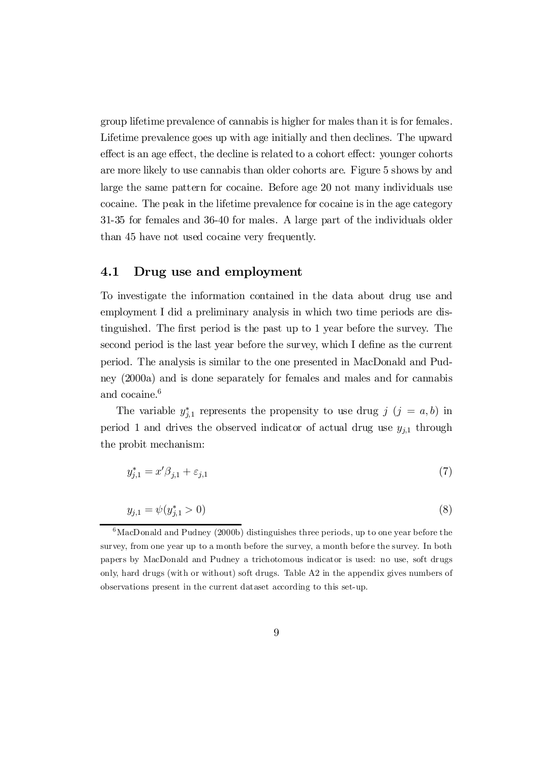group lifetime prevalence of cannabis is higher for males than it is for females. Lifetime prevalence goes up with age initially and then declines. The upward effect is an age effect, the decline is related to a cohort effect: younger cohorts are more likely to use cannabis than older cohorts are. Figure 5 shows by and large the same pattern for cocaine. Before age 20 not many individuals use cocaine. The peak in the lifetime prevalence for cocaine is in the age category 31-35 for females and 36-40 for males. A large part of the individuals older than 45 have not used cocaine very frequently.

#### 4.1 Drug use and employment

To investigate the information contained in the data about drug use and employment I did a preliminary analysis in which two time periods are distinguished. The first period is the past up to  $1$  year before the survey. The second period is the last year before the survey, which  $I$  define as the current period. The analysis is similar to the one presented in MacDonald and Pudney (2000a) and is done separately for females and males and for cannabis and cocaine. 6

The variable  $y_{j,1}^*$  represents the propensity to use drug  $j$   $(j = a, b)$  in period 1 and drives the observed indicator of actual drug use  $y_{j,1}$  through the probit mechanism:

$$
y_{j,1}^* = x'\beta_{j,1} + \varepsilon_{j,1} \tag{7}
$$

$$
y_{j,1} = \psi(y_{j,1}^*) > 0
$$
\n<sup>(8)</sup>

 $6$ MacDonald and Pudney (2000b) distinguishes three periods, up to one year before the survey, from one year up to a month before the survey, a month before the survey. In both papers by MacDonald and Pudney a trichotomous indicator is used: no use, soft drugs only, hard drugs (with or without) soft drugs. Table A2 in the appendix gives numbers of observations present in the current dataset according to this set-up.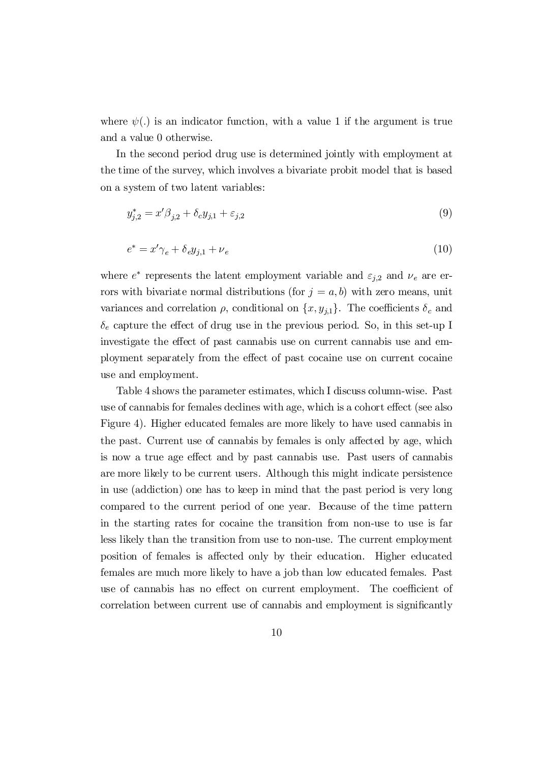where  $\psi(.)$  is an indicator function, with a value 1 if the argument is true and a value 0 otherwise.

In the second period drug use is determined jointly with employment at the time of the survey, which involves a bivariate probit model that is based on a system of two latent variables:

$$
y_{j,2}^* = x'\beta_{j,2} + \delta_c y_{j,1} + \varepsilon_{j,2}
$$
\n(9)

$$
e^* = x'\gamma_e + \delta_e y_{j,1} + \nu_e \tag{10}
$$

where  $e^*$  represents the latent employment variable and  $\varepsilon_{j,2}$  and  $\nu_e$  are errors with bivariate normal distributions (for  $j = a, b$ ) with zero means, unit variances and correlation  $\rho$ , conditional on  $\{x, y_{j,1}\}$ . The coefficients  $\delta_c$  and  $\delta_e$  capture the effect of drug use in the previous period. So, in this set-up I investigate the effect of past cannabis use on current cannabis use and employment separately from the effect of past cocaine use on current cocaine use and employment.

Table 4 shows the parameter estimates, which I discuss column-wise. Past use of cannabis for females declines with age, which is a cohort effect (see also Figure 4). Higher educated females are more likely to have used cannabis in the past. Current use of cannabis by females is only affected by age, which is now a true age effect and by past cannabis use. Past users of cannabis are more likely to be current users. Although this might indicate persistence in use (addiction) one has to keep in mind that the past period is very long compared to the current period of one year. Because of the time pattern in the starting rates for cocaine the transition from non-use to use is far less likely than the transition from use to non-use. The current employment position of females is affected only by their education. Higher educated females are much more likely to have a job than low educated females. Past use of cannabis has no effect on current employment. The coefficient of correlation between current use of cannabis and employment is significantly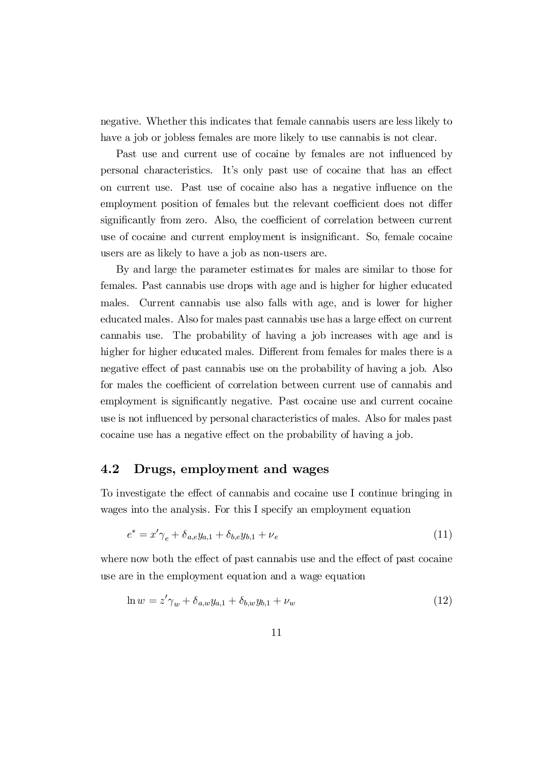negative. Whether this indicates that female cannabis users are less likely to have a job or jobless females are more likely to use cannabis is not clear.

Past use and current use of cocaine by females are not influenced by personal characteristics. It's only past use of cocaine that has an effect on current use. Past use of cocaine also has a negative influence on the employment position of females but the relevant coefficient does not differ significantly from zero. Also, the coefficient of correlation between current use of cocaine and current employment is insignificant. So, female cocaine users are as likely to have a job as non-users are.

By and large the parameter estimates for males are similar to those for females. Past cannabis use drops with age and is higher for higher educated males. Current cannabis use also falls with age, and is lower for higher educated males. Also for males past cannabis use has a large effect on current cannabis use. The probability of having a job increases with age and is higher for higher educated males. Different from females for males there is a negative effect of past cannabis use on the probability of having a job. Also for males the coefficient of correlation between current use of cannabis and employment is significantly negative. Past cocaine use and current cocaine use is not influenced by personal characteristics of males. Also for males past cocaine use has a negative effect on the probability of having a job.

#### 4.2 Drugs, employment and wages

To investigate the effect of cannabis and cocaine use I continue bringing in wages into the analysis. For this I specify an employment equation

$$
e^* = x'\gamma_e + \delta_{a,e}y_{a,1} + \delta_{b,e}y_{b,1} + \nu_e
$$
\n(11)

where now both the effect of past cannabis use and the effect of past cocaine use are in the employment equation and a wage equation

$$
\ln w = z' \gamma_w + \delta_{a,w} y_{a,1} + \delta_{b,w} y_{b,1} + \nu_w \tag{12}
$$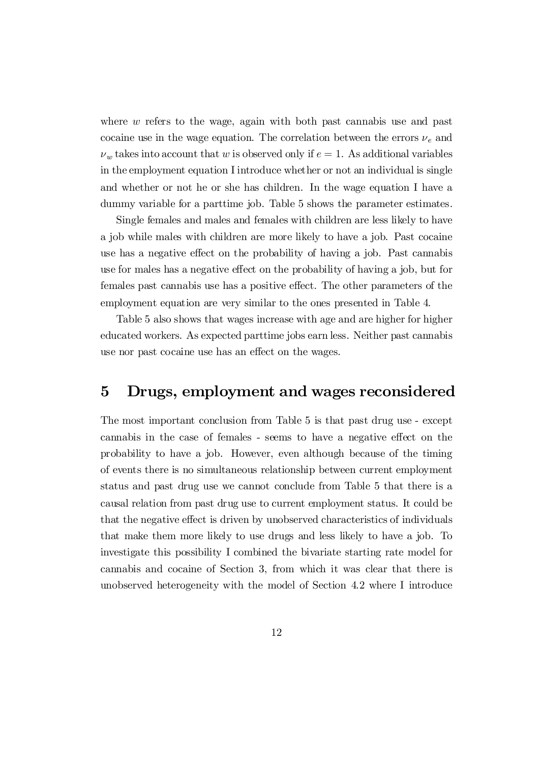where  $w$  refers to the wage, again with both past cannabis use and past cocaine use in the wage equation. The correlation between the errors  $\nu_e$  and  $\nu_w$  takes into account that w is observed only if  $e = 1$ . As additional variables in the employment equation I introduce whether or not an individual is single and whether or not he or she has children. In the wage equation I have a dummy variable for a parttime job. Table 5 shows the parameter estimates.

Single females and males and females with children are less likely to have a job while males with children are more likely to have a job. Past cocaine use has a negative effect on the probability of having a job. Past cannabis use for males has a negative effect on the probability of having a job, but for females past cannabis use has a positive effect. The other parameters of the employment equation are very similar to the ones presented in Table 4.

Table 5 also shows that wages increase with age and are higher for higher educated workers. As expected parttime jobs earn less. Neither past cannabis use nor past cocaine use has an effect on the wages.

### 5 Drugs, employment and wages reconsidered

The most important conclusion from Table 5 is that past drug use - except cannabis in the case of females - seems to have a negative effect on the probability to have a job. However, even although because of the timing of events there is no simultaneous relationship between current employment status and past drug use we cannot conclude from Table 5 that there is a causal relation from past drug use to current employment status. It could be that the negative effect is driven by unobserved characteristics of individuals that make them more likely to use drugs and less likely to have a job. To investigate this possibility I combined the bivariate starting rate model for cannabis and cocaine of Section 3, from which it was clear that there is unobserved heterogeneity with the model of Section 4.2 where I introduce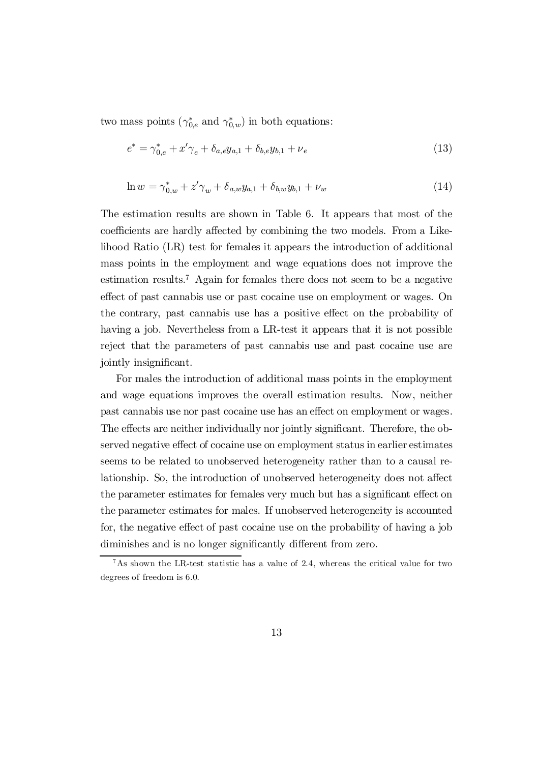two mass points  $(\gamma_{0,e}^*$  and  $\gamma_{0,w}^*)$  in both equations:

$$
e^* = \gamma_{0,e}^* + x'\gamma_e + \delta_{a,e}y_{a,1} + \delta_{b,e}y_{b,1} + \nu_e
$$
\n(13)

$$
\ln w = \gamma_{0,w}^* + z'\gamma_w + \delta_{a,w}y_{a,1} + \delta_{b,w}y_{b,1} + \nu_w \tag{14}
$$

The estimation results are shown in Table 6. It appears that most of the coefficients are hardly affected by combining the two models. From a Likelihood Ratio (LR) test for females it appears the introduction of additional mass points in the employment and wage equations does not improve the estimation results. <sup>7</sup> Again for females there does not seem to be a negative effect of past cannabis use or past cocaine use on employment or wages. On the contrary, past cannabis use has a positive effect on the probability of having a job. Nevertheless from a LR-test it appears that it is not possible reject that the parameters of past cannabis use and past cocaine use are jointly insignificant.

For males the introduction of additional mass points in the employment and wage equations improves the overall estimation results. Now, neither past cannabis use nor past cocaine use has an effect on employment or wages. The effects are neither individually nor jointly significant. Therefore, the observed negative effect of cocaine use on employment status in earlier estimates seems to be related to unobserved heterogeneity rather than to a causal relationship. So, the introduction of unobserved heterogeneity does not affect the parameter estimates for females very much but has a significant effect on the parameter estimates for males. If unobserved heterogeneity is accounted for, the negative effect of past cocaine use on the probability of having a job diminishes and is no longer significantly different from zero.

 ${}^{7}$ As shown the LR-test statistic has a value of 2.4, whereas the critical value for two degrees of freedom is 6.0.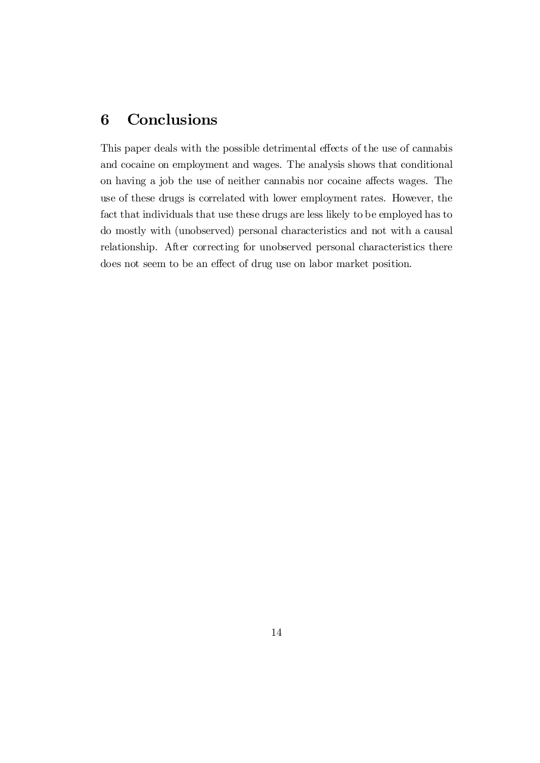# 6 Conclusions

This paper deals with the possible detrimental effects of the use of cannabis and cocaine on employment and wages. The analysis shows that conditional on having a job the use of neither cannabis nor cocaine affects wages. The use of these drugs is correlated with lower employment rates. However, the fact that individuals that use these drugs are less likely to be employed has to do mostly with (unobserved) personal characteristics and not with a causal relationship. After correcting for unobserved personal characteristics there does not seem to be an effect of drug use on labor market position.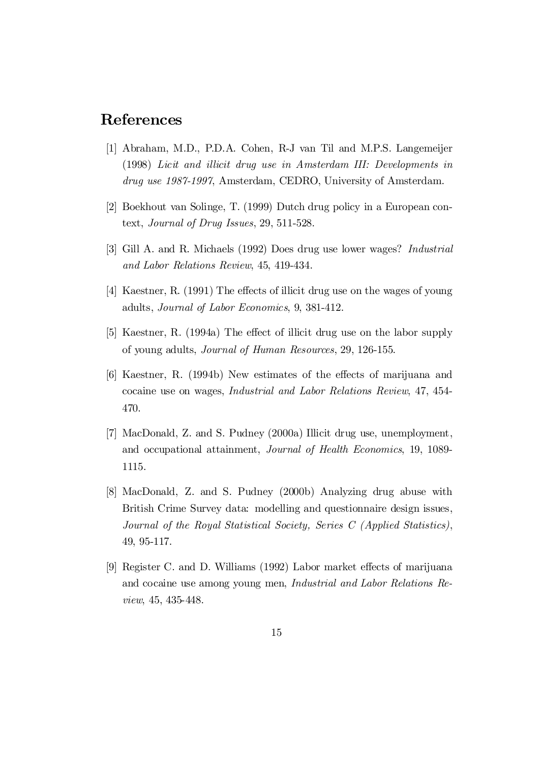## References

- [1] Abraham, M.D., P.D.A. Cohen, R-J van Til and M.P.S. Langemeijer (1998) Licit and illicit drug use in Amsterdam III: Developments in drug use 1987-1997, Amsterdam, CEDRO, University of Amsterdam.
- [2] Boekhout van Solinge, T. (1999) Dutch drug policy in a European context, Journal of Drug Issues, 29, 511-528.
- [3] Gill A. and R. Michaels (1992) Does drug use lower wages? Industrial and Labor Relations Review, 45, 419-434.
- $[4]$  Kaestner, R. (1991) The effects of illicit drug use on the wages of young adults, Journal of Labor Economics, 9, 381-412.
- $[5]$  Kaestner, R. (1994a) The effect of illicit drug use on the labor supply of young adults, Journal of Human Resources, 29, 126-155.
- [6] Kaestner, R. (1994b) New estimates of the effects of marijuana and cocaine use on wages, Industrial and Labor Relations Review, 47, 454- 470.
- [7] MacDonald, Z. and S. Pudney (2000a) Illicit drug use, unemployment, and occupational attainment, Journal of Health Economics, 19, 1089- 1115.
- [8] MacDonald, Z. and S. Pudney (2000b) Analyzing drug abuse with British Crime Survey data: modelling and questionnaire design issues, Journal of the Royal Statistical Society, Series C (Applied Statistics), 49, 95-117.
- [9] Register C. and D. Williams (1992) Labor market effects of marijuana and cocaine use among young men, Industrial and Labor Relations Review, 45, 435-448.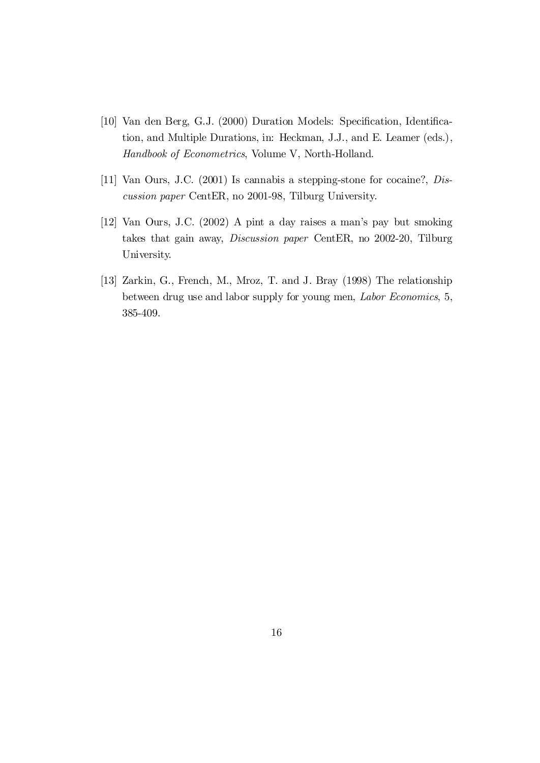- [10] Van den Berg, G.J. (2000) Duration Models: Specification, Identification, and Multiple Durations, in: Heckman, J.J., and E. Leamer (eds.), Handbook of Econometrics, Volume V, North-Holland.
- [11] Van Ours, J.C. (2001) Is cannabis a stepping-stone for cocaine?, Discussion paper CentER, no 2001-98, Tilburg University.
- [12] Van Ours, J.C. (2002) A pint a day raises a man's pay but smoking takes that gain away, Discussion paper CentER, no 2002-20, Tilburg University.
- [13] Zarkin, G., French, M., Mroz, T. and J. Bray (1998) The relationship between drug use and labor supply for young men, Labor Economics, 5, 385-409.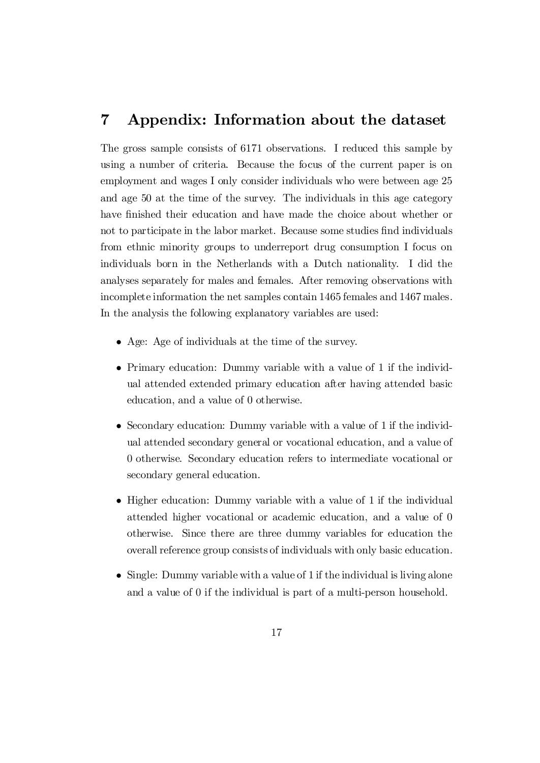## 7 Appendix: Information about the dataset

The gross sample consists of 6171 observations. I reduced this sample by using a number of criteria. Because the focus of the current paper is on employment and wages I only consider individuals who were between age 25 and age 50 at the time of the survey. The individuals in this age category have finished their education and have made the choice about whether or not to participate in the labor market. Because some studies find individuals from ethnic minority groups to underreport drug consumption I focus on individuals born in the Netherlands with a Dutch nationality. I did the analyses separately for males and females. After removing observations with incomplete information the net samples contain 1465 females and 1467 males. In the analysis the following explanatory variables are used:

- Age: Age of individuals at the time of the survey.
- Primary education: Dummy variable with a value of 1 if the individual attended extended primary education after having attended basic education, and a value of 0 otherwise.
- Secondary education: Dummy variable with a value of 1 if the individual attended secondary general or vocational education, and a value of 0 otherwise. Secondary education refers to intermediate vocational or secondary general education.
- Higher education: Dummy variable with a value of 1 if the individual attended higher vocational or academic education, and a value of 0 otherwise. Since there are three dummy variables for education the overall reference group consists of individuals with only basic education.
- Single: Dummy variable with a value of 1 if the individual is living alone and a value of 0 if the individual is part of a multi-person household.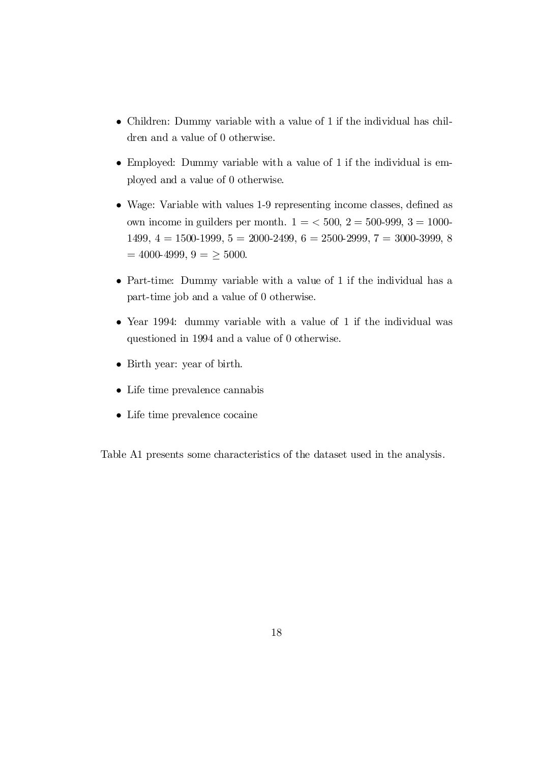- Children: Dummy variable with a value of 1 if the individual has children and a value of 0 otherwise.
- Employed: Dummy variable with a value of 1 if the individual is employed and a value of 0 otherwise.
- Wage: Variable with values 1-9 representing income classes, defined as own income in guilders per month.  $1 = 500$ ,  $2 = 500-999$ ,  $3 = 1000-$ 1499,  $4 = 1500-1999$ ,  $5 = 2000-2499$ ,  $6 = 2500-2999$ ,  $7 = 3000-3999$ , 8  $= 4000-4999, 9 = \geq 5000.$
- Part-time: Dummy variable with a value of 1 if the individual has a part-time job and a value of 0 otherwise.
- Year 1994: dummy variable with a value of 1 if the individual was questioned in 1994 and a value of 0 otherwise.
- Birth year: year of birth.
- Life time prevalence cannabis
- Life time prevalence cocaine

Table A1 presents some characteristics of the dataset used in the analysis.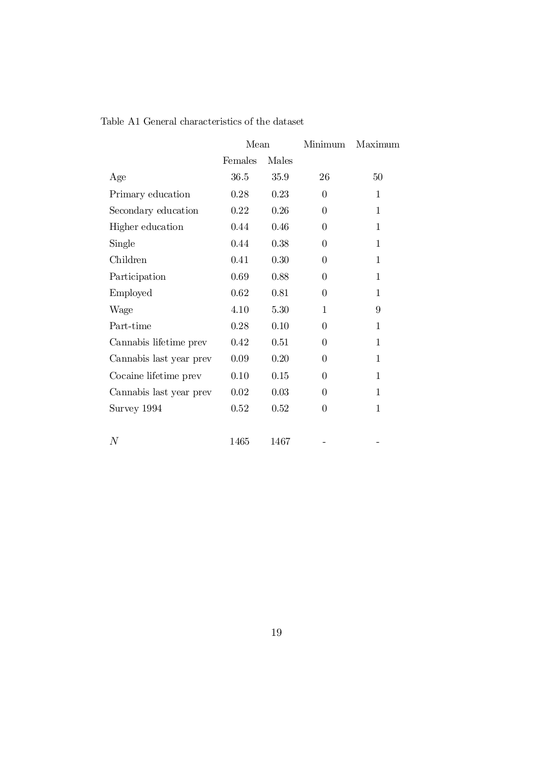|                         | Mean    |       | Minimum  | Maximum     |
|-------------------------|---------|-------|----------|-------------|
|                         | Females | Males |          |             |
| Age                     | 36.5    | 35.9  | 26       | 50          |
| Primary education       | 0.28    | 0.23  | $\theta$ | 1           |
| Secondary education     | 0.22    | 0.26  | $\theta$ | $\mathbf 1$ |
| Higher education        | 0.44    | 0.46  | $\Omega$ | 1           |
| Single                  | 0.44    | 0.38  | $\theta$ | $\mathbf 1$ |
| Children                | 0.41    | 0.30  | $\theta$ | 1           |
| Participation           | 0.69    | 0.88  | $\theta$ | 1           |
| Employed                | 0.62    | 0.81  | $\theta$ | 1           |
| Wage                    | 4.10    | 5.30  | 1        | 9           |
| Part-time               | 0.28    | 0.10  | $\theta$ | 1           |
| Cannabis lifetime prev  | 0.42    | 0.51  | $\theta$ | 1           |
| Cannabis last year prev | 0.09    | 0.20  | $\theta$ | 1           |
| Cocaine lifetime prev   | 0.10    | 0.15  | $\theta$ | 1           |
| Cannabis last year prev | 0.02    | 0.03  | $\theta$ | 1           |
| Survey 1994             | 0.52    | 0.52  | $\theta$ | 1           |
|                         |         |       |          |             |
| N                       | 1465    | 1467  |          |             |

Table A1 General characteristics of the dataset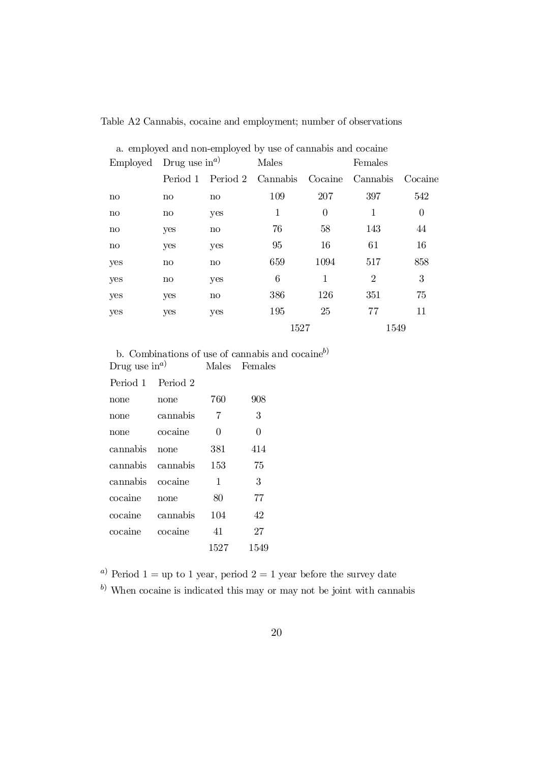| a. employed and non-employed by use of cannabis and cocaine |              |              |                   |          |                |          |  |
|-------------------------------------------------------------|--------------|--------------|-------------------|----------|----------------|----------|--|
| Employed Drug use $\text{in}^{a}$                           |              |              | Males             |          | Females        |          |  |
|                                                             | Period 1     |              | Period 2 Cannabis | Cocaine  | Cannabis       | Cocaine  |  |
| $\mathbf{n}$                                                | $\mathbf{n}$ | $\mathbf{n}$ | 109               | 207      | 397            | 542      |  |
| $\mathbf{n}$                                                | $\mathbf{n}$ | yes          | 1                 | $\theta$ | 1              | $\theta$ |  |
| $\mathbf{n}$                                                | yes          | $\mathbf{n}$ | 76                | 58       | 143            | 44       |  |
| $\mathbf{n}$                                                | yes          | yes          | 95                | 16       | 61             | 16       |  |
| yes                                                         | $\mathbf{n}$ | $\mathbf{n}$ | 659               | 1094     | 517            | 858      |  |
| yes                                                         | $\mathbf{n}$ | yes          | 6                 | 1        | $\overline{2}$ | 3        |  |
| yes                                                         | yes          | $\mathbf{n}$ | 386               | 126      | 351            | 75       |  |
| yes                                                         | yes          | yes          | 195               | 25       | 77             | 11       |  |
|                                                             |              |              | 1527              |          | 1549           |          |  |

#### Table A2 Cannabis, cocaine and employment; number of observations

b. Combinations of use of cannabis and cocaine<sup>b)</sup> Drug use  $\text{in}^{a}$ <sup>a</sup>) Males Females

| Period 1 | Period 2 |      |      |
|----------|----------|------|------|
| none     | none     | 760  | 908  |
| none     | cannabis | 7    | 3    |
| none     | cocaine  | 0    | 0    |
| cannabis | none     | 381  | 414  |
| cannabis | cannabis | 153  | 75   |
| cannabis | cocaine  | 1    | 3    |
| cocaine  | none     | 80   | 77   |
| cocaine  | cannabis | 104  | 42   |
| cocaine  | cocaine  | 41   | 27   |
|          |          | 1527 | 1549 |
|          |          |      |      |

<sup>a)</sup> Period 1 = up to 1 year, period 2 = 1 year before the survey date

 $b)$  When cocaine is indicated this may or may not be joint with cannabis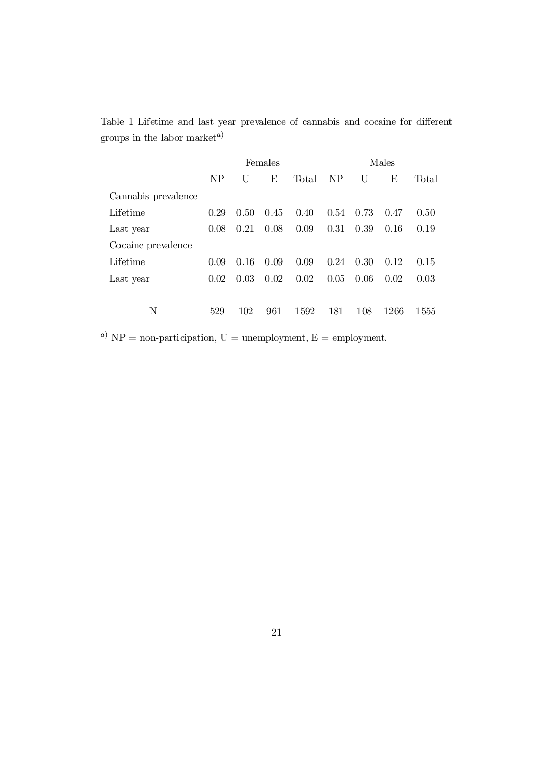Table 1 Lifetime and last year prevalence of cannabis and cocaine for different groups in the labor market<sup>*a*)</sup>

|                     | Females |      |      | Males |           |      |      |       |
|---------------------|---------|------|------|-------|-----------|------|------|-------|
|                     | NP      | U    | Е    | Total | <b>NP</b> | U    | Е    | Total |
| Cannabis prevalence |         |      |      |       |           |      |      |       |
| Lifetime            | 0.29    | 0.50 | 0.45 | 0.40  | 0.54      | 0.73 | 0.47 | 0.50  |
| Last year           | 0.08    | 0.21 | 0.08 | 0.09  | 0.31      | 0.39 | 0.16 | 0.19  |
| Cocaine prevalence  |         |      |      |       |           |      |      |       |
| Lifetime            | 0.09    | 0.16 | 0.09 | 0.09  | 0.24      | 0.30 | 0.12 | 0.15  |
| Last year           | 0.02    | 0.03 | 0.02 | 0.02  | 0.05      | 0.06 | 0.02 | 0.03  |
|                     |         |      |      |       |           |      |      |       |
| Ν                   | 529     | 102  | 961  | 1592  | 181       | 108  | 1266 | 1555  |
|                     |         |      |      |       |           |      |      |       |

<sup>a)</sup> NP = non-participation, U = unemployment, E = employment.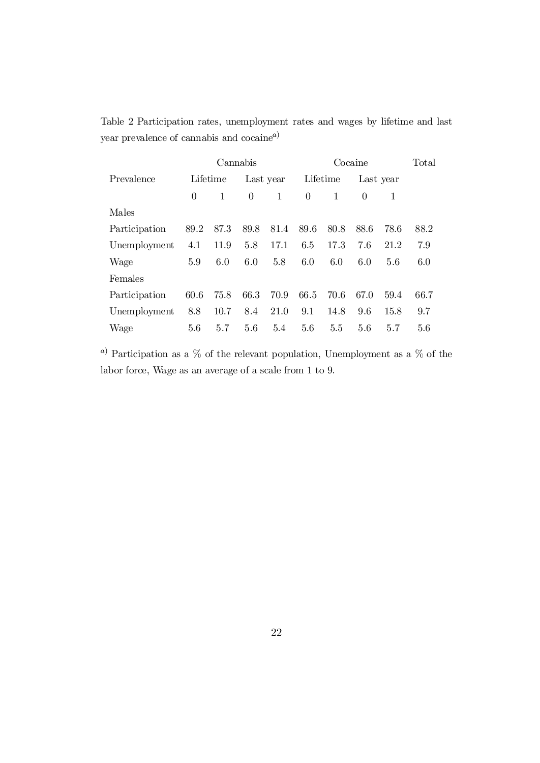Table 2 Participation rates, unemployment rates and wages by lifetime and last year prevalence of cannabis and cocaine<sup>a)</sup>

|               |          | Cannabis |                |           |          |      | Cocaine  |           | Total |
|---------------|----------|----------|----------------|-----------|----------|------|----------|-----------|-------|
| Prevalence    |          | Lifetime |                | Last year | Lifetime |      |          | Last year |       |
|               | $\theta$ | 1        | $\overline{0}$ | 1         | $\Omega$ | 1    | $\Omega$ | 1         |       |
| Males         |          |          |                |           |          |      |          |           |       |
| Participation | 89.2     | 87.3     | 89.8           | 81.4      | 89.6     | 80.8 | 88.6     | 78.6      | 88.2  |
| Unemployment  | 4.1      | 11.9     | 5.8            | 17.1      | 6.5      | 17.3 | 7.6      | 21.2      | 7.9   |
| Wage          | 5.9      | 6.0      | 6.0            | 5.8       | 6.0      | 6.0  | 6.0      | 5.6       | 6.0   |
| Females       |          |          |                |           |          |      |          |           |       |
| Participation | 60.6     | 75.8     | 66.3           | 70.9      | 66.5     | 70.6 | 67.0     | 59.4      | 66.7  |
| Unemployment  | 8.8      | 10.7     | 8.4            | 21.0      | 9.1      | 14.8 | 9.6      | 15.8      | 9.7   |
| Wage          | 5.6      | 5.7      | 5.6            | 5.4       | 5.6      | 5.5  | 5.6      | 5.7       | 5.6   |

 $^{\,a)}$  Participation as a  $\%$  of the relevant population, Unemployment as a  $\%$  of the labor force, Wage as an average of a scale from 1 to 9.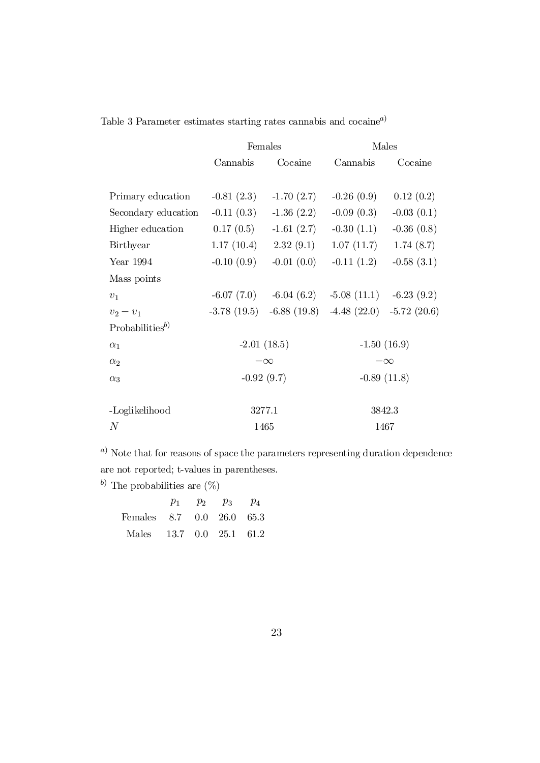| Table 3 Parameter estimates starting rates cannabis and cocaine <sup>a)</sup> |  |  |  |
|-------------------------------------------------------------------------------|--|--|--|
|                                                                               |  |  |  |

|                                          |              | Females                                                 | Males                    |              |  |
|------------------------------------------|--------------|---------------------------------------------------------|--------------------------|--------------|--|
|                                          | Cannabis     | Cocaine                                                 | Cannabis                 | Cocaine      |  |
|                                          |              |                                                         |                          |              |  |
| Primary education                        | $-0.81(2.3)$ | $-1.70(2.7)$                                            | $-0.26(0.9)$             | 0.12(0.2)    |  |
| Secondary education                      | $-0.11(0.3)$ | $-1.36(2.2)$                                            | $-0.09(0.3)$             | $-0.03(0.1)$ |  |
| Higher education                         | 0.17(0.5)    | $-1.61(2.7)$                                            | $-0.30(1.1)$             | $-0.36(0.8)$ |  |
| Birthyear                                |              | $1.17(10.4)$ $2.32(9.1)$                                | 1.07(11.7)               | 1.74(8.7)    |  |
| Year 1994                                | $-0.10(0.9)$ | $-0.01(0.0)$                                            | $-0.11(1.2)$             | $-0.58(3.1)$ |  |
| Mass points                              |              |                                                         |                          |              |  |
| $v_1$                                    |              | $-6.07(7.0)$ $-6.04(6.2)$                               | $-5.08(11.1) -6.23(9.2)$ |              |  |
| $v_2 - v_1$                              |              | $-3.78(19.5)$ $-6.88(19.8)$ $-4.48(22.0)$ $-5.72(20.6)$ |                          |              |  |
| Probabilities <sup><math>b)</math></sup> |              |                                                         |                          |              |  |
| $\alpha_1$                               |              | $-2.01(18.5)$                                           | $-1.50(16.9)$            |              |  |
| $\alpha_2$                               |              | $-\infty$                                               | $-\infty$                |              |  |
| $\alpha_3$                               | $-0.92(9.7)$ |                                                         | $-0.89(11.8)$            |              |  |
|                                          |              |                                                         |                          |              |  |
| -Loglikelihood                           |              | 3277.1                                                  | 3842.3                   |              |  |
| N                                        | 1465         |                                                         | 1467                     |              |  |

 $a)$  Note that for reasons of space the parameters representing duration dependence are not reported; t-values in parentheses.

b) The probabilities are  $(\%)$ 

|                           |  | $p_1$ $p_2$ $p_3$ $p_4$ |  |
|---------------------------|--|-------------------------|--|
| Females 8.7 0.0 26.0 65.3 |  |                         |  |
| Males 13.7 0.0 25.1 61.2  |  |                         |  |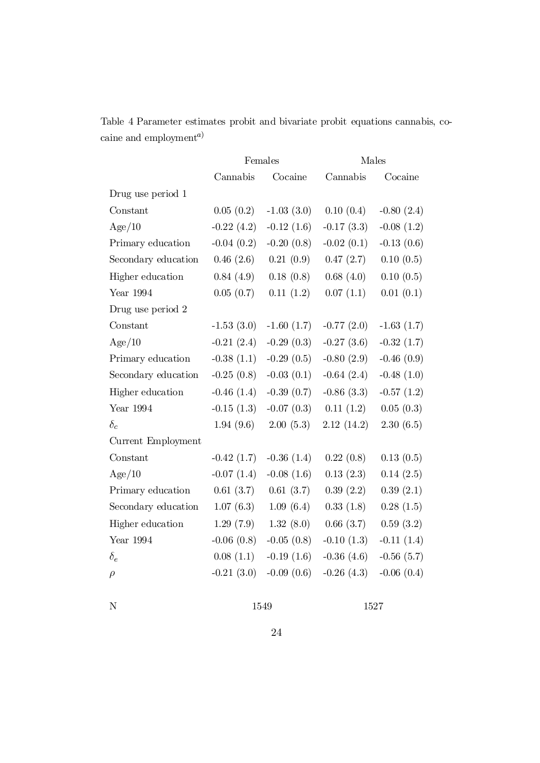Table 4 Parameter estimates probit and bivariate probit equations cannabis, cocaine and employment<sup>a)</sup>

|                     | Females      |              | Males        |                 |  |
|---------------------|--------------|--------------|--------------|-----------------|--|
|                     | Cannabis     | Cocaine      | Cannabis     | Cocaine         |  |
| Drug use period 1   |              |              |              |                 |  |
| Constant            | 0.05(0.2)    | $-1.03(3.0)$ | 0.10(0.4)    | $-0.80(2.4)$    |  |
| Age/10              | $-0.22(4.2)$ | $-0.12(1.6)$ | $-0.17(3.3)$ | $-0.08(1.2)$    |  |
| Primary education   | $-0.04(0.2)$ | $-0.20(0.8)$ | $-0.02(0.1)$ | $-0.13(0.6)$    |  |
| Secondary education | 0.46(2.6)    | 0.21(0.9)    | 0.47(2.7)    | 0.10(0.5)       |  |
| Higher education    | 0.84(4.9)    | 0.18(0.8)    | 0.68(4.0)    | 0.10(0.5)       |  |
| Year 1994           | 0.05(0.7)    | 0.11(1.2)    | 0.07(1.1)    | 0.01(0.1)       |  |
| Drug use period 2   |              |              |              |                 |  |
| Constant            | $-1.53(3.0)$ | $-1.60(1.7)$ | $-0.77(2.0)$ | $-1.63(1.7)$    |  |
| Age/10              | $-0.21(2.4)$ | $-0.29(0.3)$ | $-0.27(3.6)$ | $-0.32(1.7)$    |  |
| Primary education   | $-0.38(1.1)$ | $-0.29(0.5)$ | $-0.80(2.9)$ | $-0.46(0.9)$    |  |
| Secondary education | $-0.25(0.8)$ | $-0.03(0.1)$ | $-0.64(2.4)$ | $-0.48(1.0)$    |  |
| Higher education    | $-0.46(1.4)$ | $-0.39(0.7)$ | $-0.86(3.3)$ | $-0.57(1.2)$    |  |
| Year 1994           | $-0.15(1.3)$ | $-0.07(0.3)$ | 0.11(1.2)    | 0.05(0.3)       |  |
| $\delta_c$          | 1.94(9.6)    | 2.00(5.3)    | 2.12(14.2)   | 2.30(6.5)       |  |
| Current Employment  |              |              |              |                 |  |
| Constant            | $-0.42(1.7)$ | $-0.36(1.4)$ | 0.22(0.8)    | 0.13(0.5)       |  |
| Age/10              | $-0.07(1.4)$ | $-0.08(1.6)$ | 0.13(2.3)    | 0.14(2.5)       |  |
| Primary education   | 0.61(3.7)    | 0.61(3.7)    | 0.39(2.2)    | 0.39(2.1)       |  |
| Secondary education | 1.07(6.3)    | 1.09(6.4)    | 0.33(1.8)    | 0.28(1.5)       |  |
| Higher education    | 1.29(7.9)    | 1.32(8.0)    | 0.66(3.7)    | 0.59(3.2)       |  |
| Year $1994$         | $-0.06(0.8)$ | $-0.05(0.8)$ | $-0.10(1.3)$ | $-0.11(1.4)$    |  |
| $\delta_e$          | 0.08(1.1)    | $-0.19(1.6)$ | $-0.36(4.6)$ | $-0.56(5.7)$    |  |
| $\rho$              | $-0.21(3.0)$ | $-0.09(0.6)$ | $-0.26(4.3)$ | $-0.06$ $(0.4)$ |  |

N 1549 1527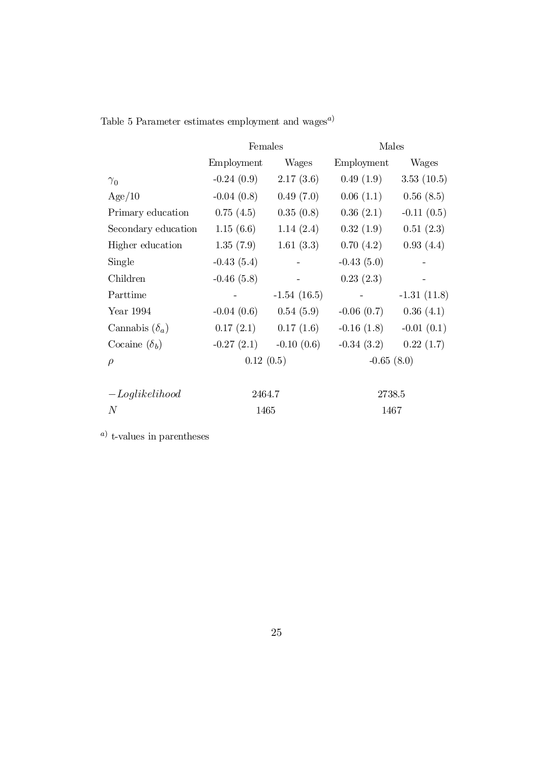|                       | Females      |               | Males        |               |  |
|-----------------------|--------------|---------------|--------------|---------------|--|
|                       | Employment   | Wages         | Employment   | Wages         |  |
| $\gamma_0$            | $-0.24(0.9)$ | 2.17(3.6)     | 0.49(1.9)    | 3.53(10.5)    |  |
| Age/10                | $-0.04(0.8)$ | 0.49(7.0)     | 0.06(1.1)    | 0.56(8.5)     |  |
| Primary education     | 0.75(4.5)    | 0.35(0.8)     | 0.36(2.1)    | $-0.11(0.5)$  |  |
| Secondary education   | 1.15(6.6)    | 1.14(2.4)     | 0.32(1.9)    | 0.51(2.3)     |  |
| Higher education      | 1.35(7.9)    | 1.61(3.3)     | 0.70(4.2)    | 0.93(4.4)     |  |
| Single                | $-0.43(5.4)$ |               | $-0.43(5.0)$ |               |  |
| Children              | $-0.46(5.8)$ |               | 0.23(2.3)    |               |  |
| Parttime              |              | $-1.54(16.5)$ |              | $-1.31(11.8)$ |  |
| Year 1994             | $-0.04(0.6)$ | 0.54(5.9)     | $-0.06(0.7)$ | 0.36(4.1)     |  |
| Cannabis $(\delta_a)$ | 0.17(2.1)    | 0.17(1.6)     | $-0.16(1.8)$ | $-0.01(0.1)$  |  |
| Cocaine $(\delta_b)$  | $-0.27(2.1)$ | $-0.10(0.6)$  | $-0.34(3.2)$ | 0.22(1.7)     |  |
| $\rho$                | 0.12(0.5)    |               | $-0.65(8.0)$ |               |  |
| $-$ Loglikelihood     | 2464.7       |               | 2738.5       |               |  |

 $N$  1465 1467

Table 5 Parameter estimates employment and wages<sup> $a)$ </sup>

a) t-values in parentheses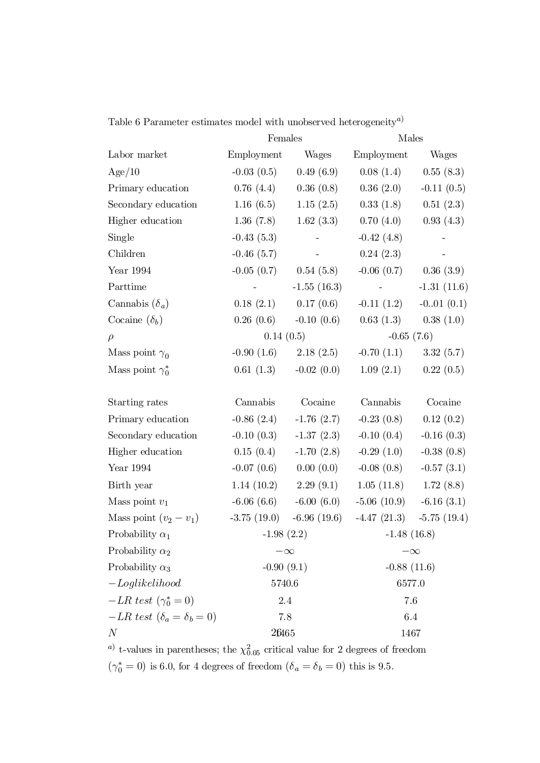|                                               | Females                 |                          | Males         |               |  |
|-----------------------------------------------|-------------------------|--------------------------|---------------|---------------|--|
| Labor market                                  | Employment              | Wages                    | Employment    | Wages         |  |
| Age/10                                        | $-0.03(0.5)$            | 0.49(6.9)                | 0.08(1.4)     | 0.55(8.3)     |  |
| Primary education                             | 0.76(4.4)               | 0.36(0.8)                | 0.36(2.0)     | $-0.11(0.5)$  |  |
| Secondary education                           | 1.16(6.5)               | 1.15(2.5)                | 0.33(1.8)     | 0.51(2.3)     |  |
| Higher education                              | 1.36(7.8)               | 1.62(3.3)                | 0.70(4.0)     | 0.93(4.3)     |  |
| Single                                        | $-0.43(5.3)$            |                          | $-0.42(4.8)$  |               |  |
| Children                                      | $-0.46(5.7)$            |                          | 0.24(2.3)     |               |  |
| Year $1994\,$                                 | $-0.05(0.7)$ 0.54 (5.8) |                          | $-0.06(0.7)$  | 0.36(3.9)     |  |
| Parttime                                      |                         | $-1.55(16.3)$            | $\sim$ $-$    | $-1.31(11.6)$ |  |
| Cannabis $(\delta_a)$                         |                         | $0.18(2.1)$ $0.17(0.6)$  | $-0.11(1.2)$  | $-0.01(0.1)$  |  |
| Cocaine $(\delta_b)$                          | 0.26(0.6)               | $-0.10(0.6)$             | 0.63(1.3)     | 0.38(1.0)     |  |
| $\rho$                                        | 0.14(0.5)               |                          | $-0.65(7.6)$  |               |  |
| Mass point $\gamma_0$                         |                         | $-0.90(1.6)$ $2.18(2.5)$ | $-0.70(1.1)$  | 3.32(5.7)     |  |
| Mass point $\gamma_0^*$                       | 0.61(1.3)               | $-0.02(0.0)$             | 1.09(2.1)     | 0.22(0.5)     |  |
| Starting rates                                | Cannabis                | Cocaine                  | Cannabis      | Cocaine       |  |
| Primary education                             | $-0.86(2.4)$            | $-1.76(2.7)$             | $-0.23(0.8)$  | 0.12(0.2)     |  |
| Secondary education                           | $-0.10(0.3)$            | $-1.37(2.3)$             | $-0.10(0.4)$  | $-0.16(0.3)$  |  |
| Higher education                              | 0.15(0.4)               | $-1.70(2.8)$             | $-0.29(1.0)$  | $-0.38(0.8)$  |  |
| Year $1994$                                   | $-0.07(0.6)$            | 0.00(0.0)                | $-0.08(0.8)$  | $-0.57(3.1)$  |  |
| Birth year                                    | 1.14(10.2)              | 2.29(9.1)                | 1.05(11.8)    | 1.72(8.8)     |  |
| Mass point $v_1$                              | $-6.06(6.6)$            | $-6.00(6.0)$             | $-5.06(10.9)$ | $-6.16(3.1)$  |  |
| Mass point $(v_2 - v_1)$                      | $-3.75(19.0)$           | $-6.96(19.6)$            | $-4.47(21.3)$ | $-5.75(19.4)$ |  |
| Probability $\alpha_1$                        | $-1.98(2.2)$            |                          | $-1.48(16.8)$ |               |  |
| Probability $\alpha_2$                        | $-\infty$               |                          | $-\infty$     |               |  |
| Probability $\alpha_3$                        | $-0.90(9.1)$            |                          | $-0.88(11.6)$ |               |  |
| $-Log likelihood$                             | 5740.6                  |                          | 6577.0        |               |  |
| $-LR \text{ test } (\gamma_0^* = 0)$          | 2.4                     |                          | 7.6           |               |  |
| $-LR \text{ test } (\delta_a = \delta_b = 0)$ | 7.8                     |                          | 6.4           |               |  |
| N                                             | 26465                   |                          | 1467          |               |  |

Table 6 Parameter estimates model with unobserved heterogeneity<sup>*a*)</sup>

<sup>*a*</sup> t-values in parentheses; the  $\chi^2_{0.05}$  critical value for 2 degrees of freedom  $(\gamma_0^* = 0)$  is 6.0, for 4 degrees of freedom  $(\delta_a = \delta_b = 0)$  this is 9.5.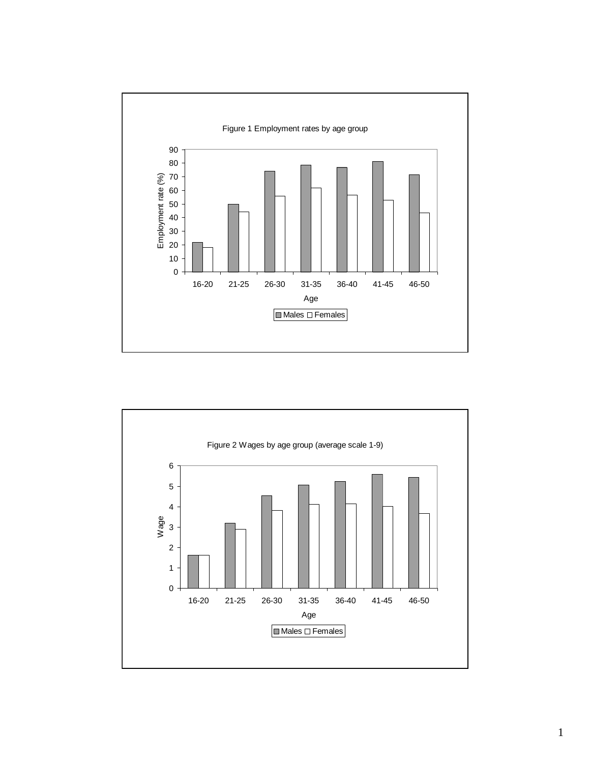

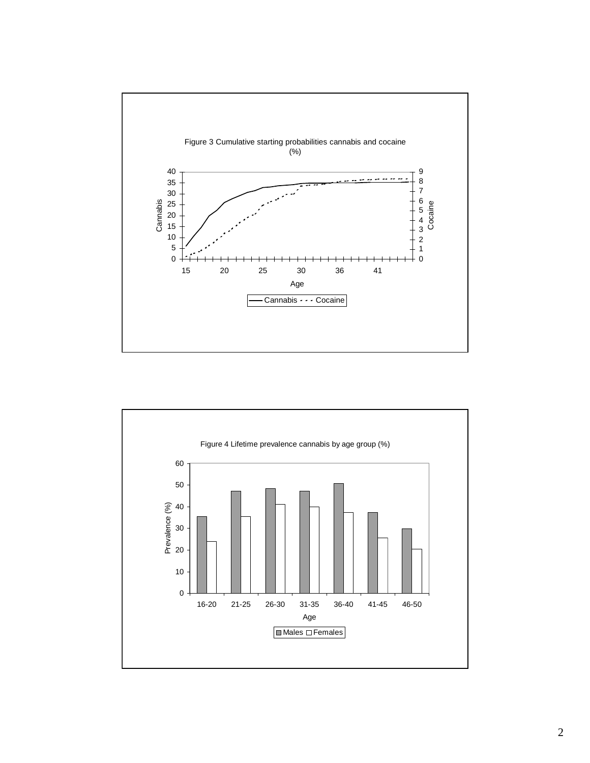